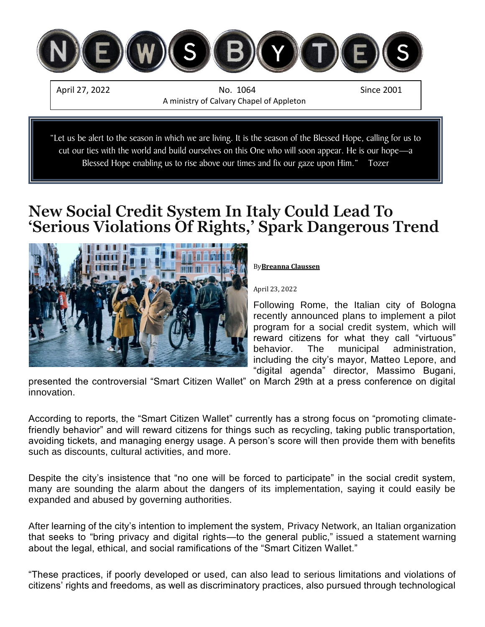

"Let us be alert to the season in which we are living. It is the season of the Blessed Hope, calling for us to cut our ties with the world and build ourselves on this One who will soon appear. He is our hope—a Blessed Hope enabling us to rise above our times and fix our gaze upon Him." Tozer

# **New Social Credit System In Italy Could Lead To 'Serious Violations Of Rights,' Spark Dangerous Trend**



#### By**[Breanna Claussen](https://harbingersdaily.com/author/breannaclaussen/)**

#### April 23, 2022

Following Rome, the Italian city of Bologna recently announced plans to implement a pilot program for a social credit system, which will reward citizens for what they call "virtuous" behavior. The municipal administration, including the city's mayor, Matteo Lepore, and "digital agenda" director, Massimo Bugani,

presented the controversial "Smart Citizen Wallet" on March 29th at a press conference on digital innovation.

According to reports, the "Smart Citizen Wallet" currently has a strong focus on "promoting climatefriendly behavior" and will reward citizens for things such as recycling, taking public transportation, avoiding tickets, and managing energy usage. A person's score will then provide them with benefits such as discounts, cultural activities, and more.

Despite the city's insistence that "no one will be forced to participate" in the social credit system, many are sounding the alarm about the dangers of its implementation, saying it could easily be expanded and abused by governing authorities.

After learning of the city's intention to implement the system, [Privacy Network,](https://www.privacy-network.it/missione/) an Italian organization that seeks to "bring privacy and digital rights—to the general public," [issued a statement](https://www.privacy-network.it/iniziative/smart-citizen-wallet-foia-al-comune-di-bologna/) warning about the legal, ethical, and social ramifications of the "Smart Citizen Wallet."

"These practices, if poorly developed or used, can also lead to serious limitations and violations of citizens' rights and freedoms, as well as discriminatory practices, also pursued through technological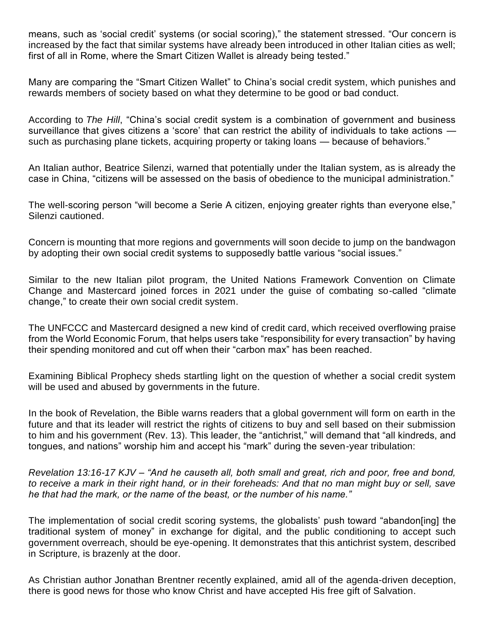means, such as 'social credit' systems (or social scoring)," the statement stressed. "Our concern is increased by the fact that similar systems have already been introduced in other Italian cities as well; first of all in Rome, where the Smart Citizen Wallet is already being tested."

Many are comparing the "Smart Citizen Wallet" to China's social credit system, which punishes and rewards members of society based on what they determine to be good or bad conduct.

According to *[The Hill](https://thehill.com/opinion/finance/565860-coming-soon-americas-own-social-credit-system/?rl=1)*, "China's social credit system is a combination of government and business surveillance that gives citizens a 'score' that can restrict the ability of individuals to take actions  $$ such as purchasing plane tickets, acquiring property or taking loans — because of behaviors."

An Italian author, Beatrice Silenzi, [warned](https://www.fcom.it/portafoglio-del-cittadino-virtuoso-smart-citizen-wallet/) that potentially under the Italian system, as is already the case in China, "citizens will be assessed on the basis of obedience to the municipal administration."

The well-scoring person "will become a Serie A citizen, enjoying greater rights than everyone else," Silenzi cautioned.

Concern is mounting that more regions and governments will soon decide to jump on the bandwagon by adopting their own social credit systems to supposedly battle various "social issues."

Similar to the new Italian pilot program, the United Nations Framework Convention on Climate Change and Mastercard joined forces in 2021 under the guise of combating so-called "climate change," to create [their own social credit system.](https://harbingersdaily.com/mastercard-un-join-forces-with-co2-monitoring-credit-card-that-tracks-cuts-off-spending-when-carbon-max-reached/)

The UNFCCC and Mastercard designed a new kind of credit card, which received overflowing praise from the World Economic Forum, that helps users take "responsibility for every transaction" by having their spending monitored and cut off when their "carbon max" has been reached.

Examining Biblical Prophecy sheds startling light on the question of whether a social credit system will be used and abused by governments in the future.

In the book of Revelation, the Bible warns readers that a global government will form on earth in the future and that its leader will restrict the rights of citizens to buy and sell based on their submission to him and his government [\(Rev. 13\)](https://www.biblegateway.com/passage/?search=Revelation+13&version=KJV). This leader, the "antichrist," will demand that "all kindreds, and tongues, and nations" worship him and accept his "mark" during the seven-year tribulation:

*Revelation 13:16-17 KJV – "And he causeth all, both small and great, rich and poor, free and bond, to receive a mark in their right hand, or in their foreheads: And that no man might buy or sell, save he that had the mark, or the name of the beast, or the number of his name."*

The implementation of social credit scoring systems, the [globalists' push](https://harbingersdaily.com/globalist-summit-asks-if-we-are-ready-for-a-new-world-order-insists-globe-is-on-the-brink-of-dramatic-financial-system-change/) toward "abandon[ing] the traditional system of money" in exchange for digital, and the public conditioning to accept such government overreach, should be eye-opening. It demonstrates that this antichrist system, described in Scripture, is brazenly at the door.

As Christian author [Jonathan Brentner](https://harbingersdaily.com/author/jonathan-brentner/) recently [explained,](https://harbingersdaily.com/ukraine-its-what-people-dont-see-that-matters/) amid all of the agenda-driven deception, there is good news for those who know Christ and have accepted [His free gift of Salvation.](https://harbingersdaily.com/abcs-of-salvation/)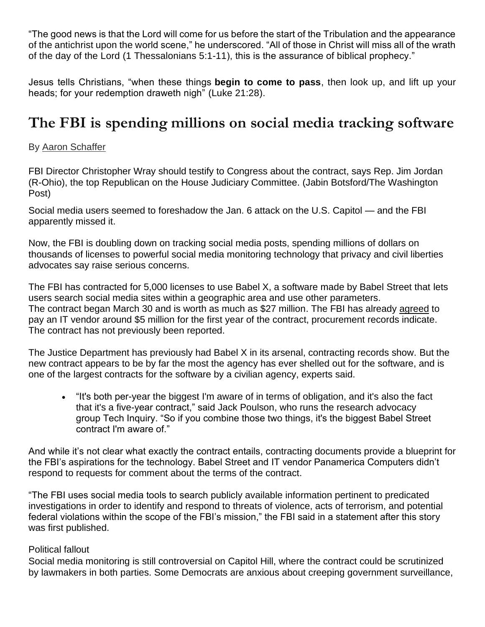"The good news is that the Lord will come for us before the start of the Tribulation and the appearance of the antichrist upon the world scene," he underscored. "All of those in Christ will miss all of the wrath of the day of the Lord [\(1 Thessalonians 5:1-11\)](https://www.biblegateway.com/passage/?search=1+Thessalonians+5%3A1-11&version=KJV), this is the assurance of biblical prophecy."

Jesus tells Christians, "when these things **begin to come to pass**, then look up, and lift up your heads; for your redemption draweth nigh" [\(Luke 21:28\)](https://www.biblegateway.com/passage/?search=luke+21%3A28&version=KJV).

# **The FBI is spending millions on social media tracking software**

## By [Aaron Schaffer](https://www.washingtonpost.com/people/aaron-schaffer/)

FBI Director Christopher Wray should testify to Congress about the contract, says Rep. Jim Jordan (R-Ohio), the top Republican on the House Judiciary Committee. (Jabin Botsford/The Washington Post)

Social media users seemed to [foreshadow](https://www.washingtonpost.com/technology/2022/01/04/facebook-election-misinformation-capitol-riot/?itid=lk_inline_manual_6) the Jan. 6 attack on the U.S. Capitol — and the FBI apparently missed it.

Now, the FBI is doubling down on tracking social media posts, spending millions of dollars on thousands of licenses to powerful social media monitoring technology that privacy and civil liberties advocates say raise serious concerns.

The FBI has [contracted](https://sam.gov/opp/3175f72a55e54307b8c46d24ae10ff35/view) for 5,000 licenses to use Babel X, a software made by Babel Street that [lets](https://www.washingtonpost.com/business/economy/for-this-company-online-surveillance-leads-to-profit-in-washingtons-suburbs/2017/09/08/6067c924-9409-11e7-89fa-bb822a46da5b_story.html?itid=lk_inline_manual_8)  [users search](https://www.washingtonpost.com/business/economy/for-this-company-online-surveillance-leads-to-profit-in-washingtons-suburbs/2017/09/08/6067c924-9409-11e7-89fa-bb822a46da5b_story.html?itid=lk_inline_manual_8) social media sites within a geographic area and use other parameters. The contract began March 30 and is worth as much as \$27 million. The FBI has already [agreed](https://www.fpds.gov/ezsearch/fpdsportal?q=panamerica+PIID%3A%2215F06722C0000258%22&s=FPDS.GOV&templateName=1.5.2&indexName=awardfull&x=0&y=0&sortBy=SIGNED_DATE&desc=Y) to pay an IT vendor around \$5 million for the first year of the contract, procurement records indicate. The contract has not previously been reported.

The Justice Department has previously had Babel X in its arsenal, contracting records show. But the new contract appears to be by far the most the agency has ever shelled out for the software, and is one of the largest contracts for the software by a civilian agency, experts said.

• "It's both per-year the biggest I'm aware of in terms of obligation, and it's also the fact that it's a five-year contract," said Jack Poulson, who runs the research advocacy group Tech Inquiry. "So if you combine those two things, it's the biggest Babel Street contract I'm aware of."

And while it's not clear what exactly the contract entails, contracting documents provide a blueprint for the FBI's aspirations for the technology. Babel Street and IT vendor Panamerica Computers didn't respond to requests for comment about the terms of the contract.

"The FBI uses social media tools to search publicly available information pertinent to predicated investigations in order to identify and respond to threats of violence, acts of terrorism, and potential federal violations within the scope of the FBI's mission," the FBI said in a statement after this story was first published.

### Political fallout

Social media monitoring is still controversial on Capitol Hill, where the contract could be scrutinized by lawmakers in both parties. Some Democrats are anxious about creeping government surveillance,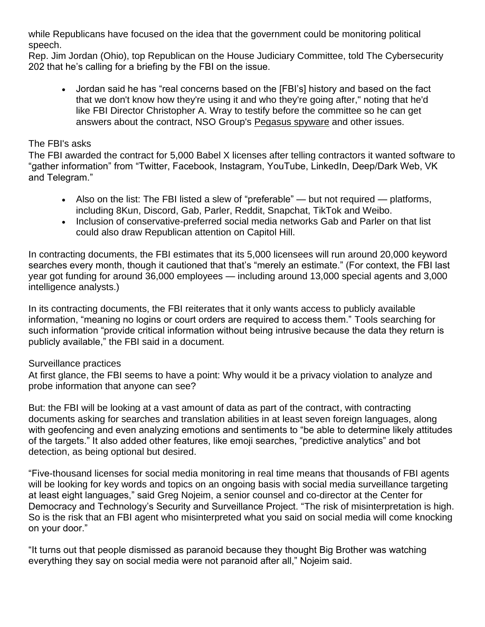while Republicans have focused on the idea that the government could be monitoring political speech.

Rep. Jim Jordan (Ohio), top Republican on the House Judiciary Committee, told The Cybersecurity 202 that he's calling for a briefing by the FBI on the issue.

• Jordan said he has "real concerns based on the [FBI's] history and based on the fact that we don't know how they're using it and who they're going after," noting that he'd like FBI Director Christopher A. Wray to testify before the committee so he can get answers about the contract, NSO Group's [Pegasus spyware](https://www.cnbc.com/2022/03/03/apple-and-fbi-grilled-by-lawmakers-on-spyware-from-israeli-nso-group.html) and other issues.

#### The FBI's asks

The FBI awarded the contract for 5,000 Babel X licenses after telling contractors it wanted software to "gather information" from "Twitter, Facebook, Instagram, YouTube, LinkedIn, Deep/Dark Web, VK and Telegram."

- Also on the list: The FBI listed a slew of "preferable" but not required platforms, including 8Kun, Discord, Gab, Parler, Reddit, Snapchat, TikTok and Weibo.
- Inclusion of conservative-preferred social media networks Gab and Parler on that list could also draw Republican attention on Capitol Hill.

In contracting documents, the FBI estimates that its 5,000 licensees will run around 20,000 keyword searches every month, though it cautioned that that's "merely an estimate." (For context, the FBI last year [got funding](https://www.oversight.gov/sites/default/files/oig-reports/DOJ/22-021.pdf) for around 36,000 employees — including around 13,000 special agents and 3,000 intelligence analysts.)

In its contracting documents, the FBI reiterates that it only wants access to publicly available information, "meaning no logins or court orders are required to access them." Tools searching for such information "provide critical information without being intrusive because the data they return is publicly available," the FBI said in a document.

### Surveillance practices

At first glance, the FBI seems to have a point: Why would it be a privacy violation to analyze and probe information that anyone can see?

But: the FBI will be looking at a vast amount of data as part of the contract, with contracting documents asking for searches and translation abilities in at least seven foreign languages, along with geofencing and even analyzing emotions and sentiments to "be able to determine likely attitudes of the targets." It also added other features, like emoji searches, "predictive analytics" and bot detection, as being optional but desired.

"Five-thousand licenses for social media monitoring in real time means that thousands of FBI agents will be looking for key words and topics on an ongoing basis with social media surveillance targeting at least eight languages," said Greg Nojeim, a senior counsel and co-director at the Center for Democracy and Technology's Security and Surveillance Project. "The risk of misinterpretation is high. So is the risk that an FBI agent who misinterpreted what you said on social media will come knocking on your door."

"It turns out that people dismissed as paranoid because they thought Big Brother was watching everything they say on social media were not paranoid after all," Nojeim said.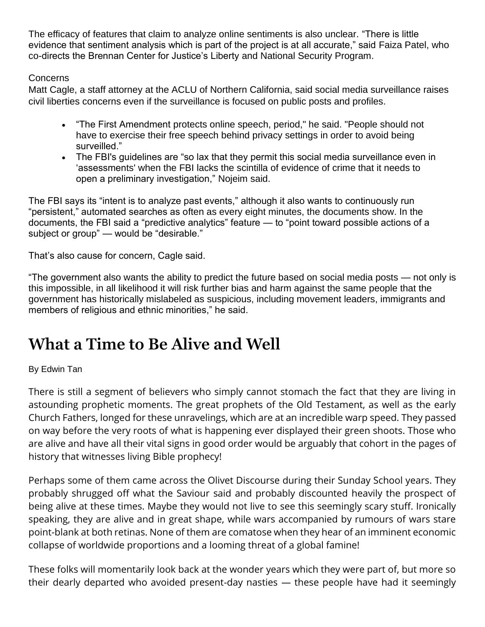The efficacy of features that claim to analyze online sentiments is also unclear. "There is little evidence that sentiment analysis which is part of the project is at all accurate," said Faiza Patel, who co-directs the Brennan Center for Justice's Liberty and National Security Program.

## Concerns

Matt Cagle, a staff attorney at the ACLU of Northern California, said social media surveillance raises civil liberties concerns even if the surveillance is focused on public posts and profiles.

- "The First Amendment protects online speech, period," he said. "People should not have to exercise their free speech behind privacy settings in order to avoid being surveilled."
- The FBI's guidelines are "so lax that they permit this social media surveillance even in 'assessments' when the FBI lacks the scintilla of evidence of crime that it needs to open a preliminary investigation," Nojeim said.

The FBI says its "intent is to analyze past events," although it also wants to continuously run "persistent," automated searches as often as every eight minutes, the documents show. In the documents, the FBI said a "predictive analytics" feature — to "point toward possible actions of a subject or group" — would be "desirable."

That's also cause for concern, Cagle said.

"The government also wants the ability to predict the future based on social media posts — not only is this impossible, in all likelihood it will risk further bias and harm against the same people that the government has historically mislabeled as suspicious, including movement leaders, immigrants and members of religious and ethnic minorities," he said.

# **What a Time to Be Alive and Well**

## By Edwin Tan

There is still a segment of believers who simply cannot stomach the fact that they are living in astounding prophetic moments. The great prophets of the Old Testament, as well as the early Church Fathers, longed for these unravelings, which are at an incredible warp speed. They passed on way before the very roots of what is happening ever displayed their green shoots. Those who are alive and have all their vital signs in good order would be arguably that cohort in the pages of history that witnesses living Bible prophecy!

Perhaps some of them came across the Olivet Discourse during their Sunday School years. They probably shrugged off what the Saviour said and probably discounted heavily the prospect of being alive at these times. Maybe they would not live to see this seemingly scary stuff. Ironically speaking, they are alive and in great shape, while wars accompanied by rumours of wars stare point-blank at both retinas. None of them are comatose when they hear of an imminent economic collapse of worldwide proportions and a looming threat of a global famine!

These folks will momentarily look back at the wonder years which they were part of, but more so their dearly departed who avoided present-day nasties — these people have had it seemingly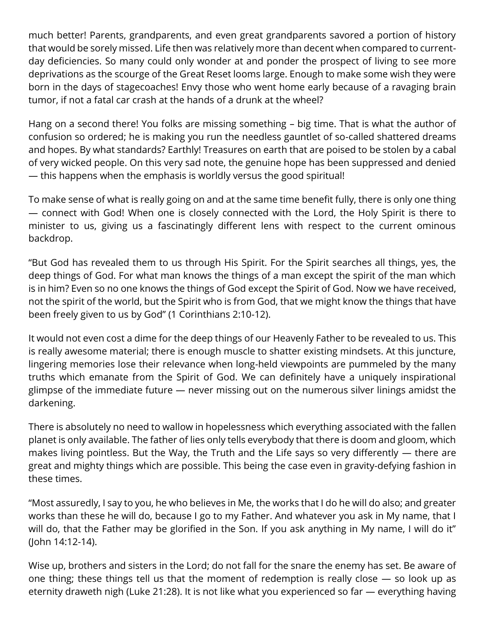much better! Parents, grandparents, and even great grandparents savored a portion of history that would be sorely missed. Life then was relatively more than decent when compared to currentday deficiencies. So many could only wonder at and ponder the prospect of living to see more deprivations as the scourge of the Great Reset looms large. Enough to make some wish they were born in the days of stagecoaches! Envy those who went home early because of a ravaging brain tumor, if not a fatal car crash at the hands of a drunk at the wheel?

Hang on a second there! You folks are missing something – big time. That is what the author of confusion so ordered; he is making you run the needless gauntlet of so-called shattered dreams and hopes. By what standards? Earthly! Treasures on earth that are poised to be stolen by a cabal of very wicked people. On this very sad note, the genuine hope has been suppressed and denied — this happens when the emphasis is worldly versus the good spiritual!

To make sense of what is really going on and at the same time benefit fully, there is only one thing — connect with God! When one is closely connected with the Lord, the Holy Spirit is there to minister to us, giving us a fascinatingly different lens with respect to the current ominous backdrop.

"But God has revealed them to us through His Spirit. For the Spirit searches all things, yes, the deep things of God. For what man knows the things of a man except the spirit of the man which is in him? Even so no one knows the things of God except the Spirit of God. Now we have received, not the spirit of the world, but the Spirit who is from God, that we might know the things that have been freely given to us by God" (1 Corinthians 2:10-12).

It would not even cost a dime for the deep things of our Heavenly Father to be revealed to us. This is really awesome material; there is enough muscle to shatter existing mindsets. At this juncture, lingering memories lose their relevance when long-held viewpoints are pummeled by the many truths which emanate from the Spirit of God. We can definitely have a uniquely inspirational glimpse of the immediate future — never missing out on the numerous silver linings amidst the darkening.

There is absolutely no need to wallow in hopelessness which everything associated with the fallen planet is only available. The father of lies only tells everybody that there is doom and gloom, which makes living pointless. But the Way, the Truth and the Life says so very differently — there are great and mighty things which are possible. This being the case even in gravity-defying fashion in these times.

"Most assuredly, I say to you, he who believes in Me, the works that I do he will do also; and greater works than these he will do, because I go to my Father. And whatever you ask in My name, that I will do, that the Father may be glorified in the Son. If you ask anything in My name, I will do it" (John 14:12-14).

Wise up, brothers and sisters in the Lord; do not fall for the snare the enemy has set. Be aware of one thing; these things tell us that the moment of redemption is really close — so look up as eternity draweth nigh (Luke 21:28). It is not like what you experienced so far — everything having